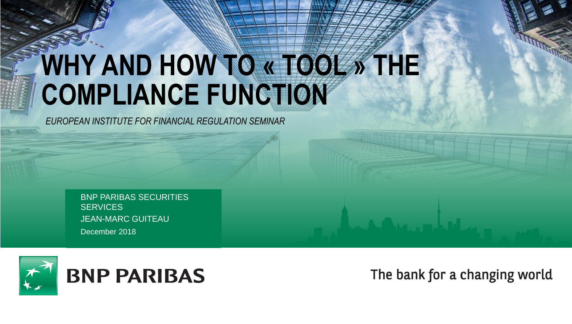# **WHY AND HOW TO « TOOL » THE COMPLIANCE FUNCTION**

*EUROPEAN INSTITUTE FOR FINANCIAL REGULATION SEMINAR*

December 2018 BNP PARIBAS SECURITIES **SERVICES** JEAN-MARC GUITEAU



The bank for a changing world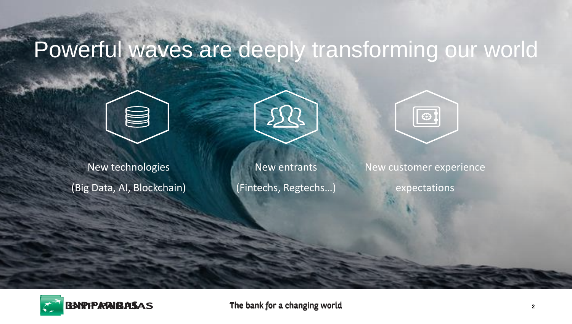# Powerful waves are deeply transforming our world



New technologies (Big Data, AI, Blockchain)



New entrants (Fintechs, Regtechs…)



New customer experience

expectations

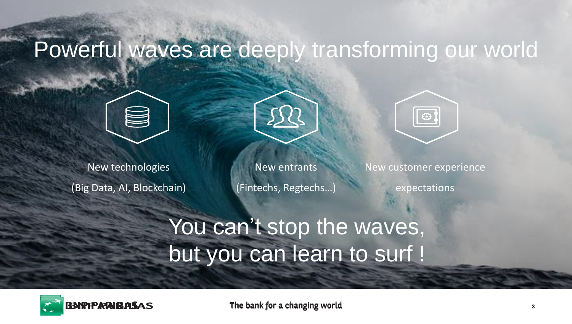# Powerful waves are deeply transforming our world





New technologies (Big Data, AI, Blockchain)

New entrants (Fintechs, Regtechs…)



New customer experience

expectations

# You can't stop the waves, but you can learn to surf !

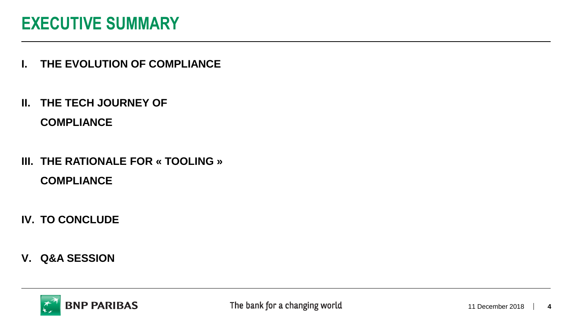### **EXECUTIVE SUMMARY**

- **I. THE EVOLUTION OF COMPLIANCE**
- **II. THE TECH JOURNEY OF**

**COMPLIANCE**

- **III. THE RATIONALE FOR « TOOLING » COMPLIANCE**
- **IV. TO CONCLUDE**
- **V. Q&A SESSION**

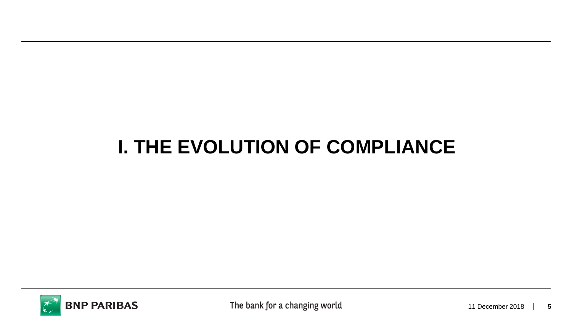## **I. THE EVOLUTION OF COMPLIANCE**

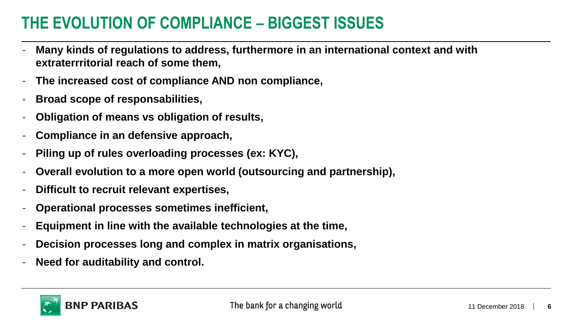### **THE EVOLUTION OF COMPLIANCE – BIGGEST ISSUES**

- **Many kinds of regulations to address, furthermore in an international context and with extraterrritorial reach of some them,**
- **The increased cost of compliance AND non compliance,**
- **Broad scope of responsabilities,**
- **Obligation of means vs obligation of results,**
- **Compliance in an defensive approach,**
- **Piling up of rules overloading processes (ex: KYC),**
- **Overall evolution to a more open world (outsourcing and partnership),**
- **Difficult to recruit relevant expertises,**
- **Operational processes sometimes inefficient,**
- **Equipment in line with the available technologies at the time,**
- **Decision processes long and complex in matrix organisations,**
- **Need for auditability and control.**

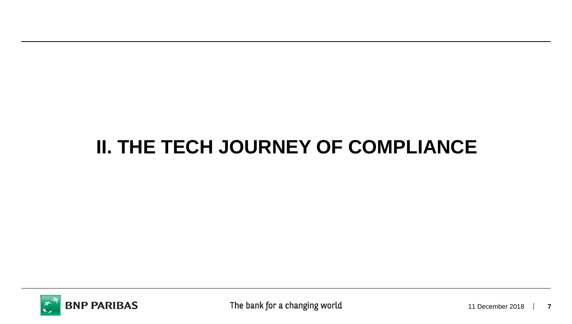## **II. THE TECH JOURNEY OF COMPLIANCE**

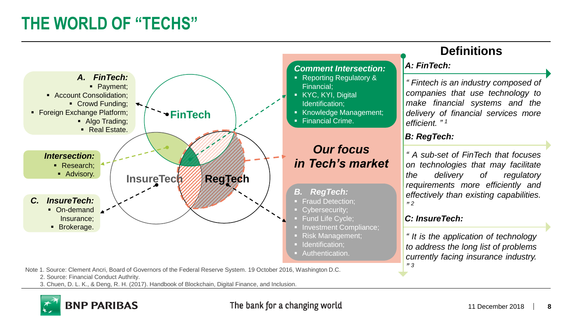## **THE WORLD OF "TECHS"**



**BNP PARIBAS** 

#### The bank for a changing world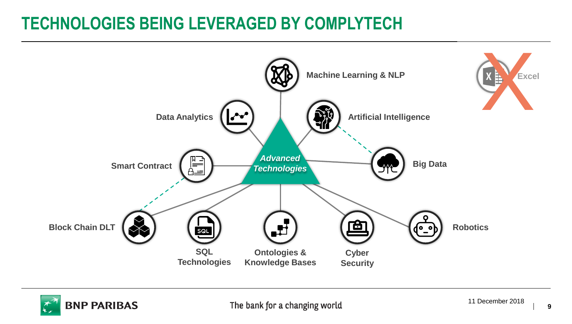## **TECHNOLOGIES BEING LEVERAGED BY COMPLYTECH**



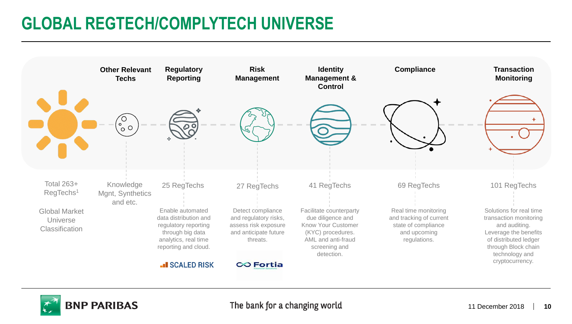## **GLOBAL REGTECH/COMPLYTECH UNIVERSE**



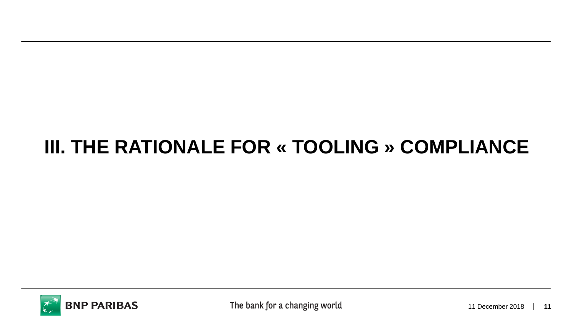# **III. THE RATIONALE FOR « TOOLING » COMPLIANCE**

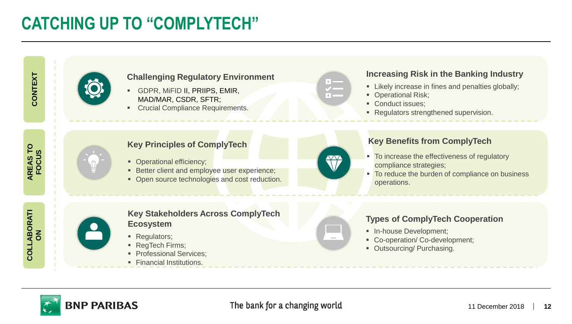## **CATCHING UP TO "COMPLYTECH"**





#### **Challenging Regulatory Environment**

- **GDPR, MIFID II, PRIIPS, EMIR,** MAD/MAR, CSDR, SFTR;
- **Crucial Compliance Requirements.**

#### **Increasing Risk in the Banking Industry**

- **EXECT:** Likely increase in fines and penalties globally;
- Operational Risk;
- Conduct issues:
- Regulators strengthened supervision.

#### **Key Principles of ComplyTech**

- Operational efficiency;
- **EXECTED BETTER EXPERIENCE: BETTER EXPERIENCE:**
- Open source technologies and cost reduction.



#### **Key Benefits from ComplyTech**

- To increase the effectiveness of regulatory compliance strategies;
- To reduce the burden of compliance on business operations.



#### **Key Stakeholders Across ComplyTech Ecosystem**

- Regulators;
- RegTech Firms;
- **Professional Services:**
- **Exercial Institutions.**

### **Types of ComplyTech Cooperation**

- **■** In-house Development;
- Co-operation/ Co-development;
- Outsourcing/ Purchasing.



**AREAS TO FOCUS**

**COLLABORATI ON**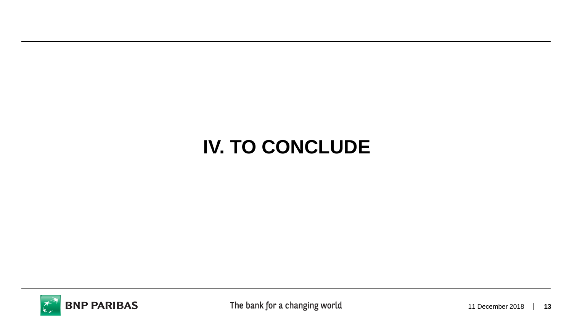# **IV. TO CONCLUDE**